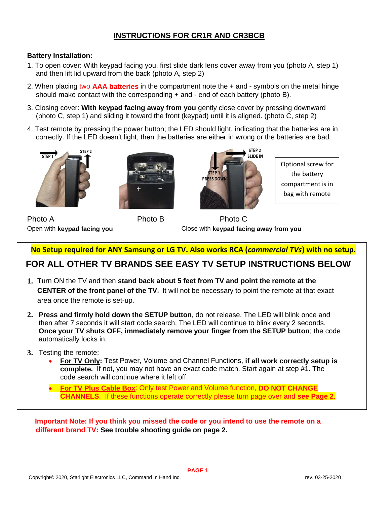### **INSTRUCTIONS FOR CR1R AND CR3BCB**

#### **Battery Installation:**

- 1. To open cover: With keypad facing you, first slide dark lens cover away from you (photo A, step 1) and then lift lid upward from the back (photo A, step 2)
- 2. When placing two **AAA batteries** in the compartment note the + and symbols on the metal hinge should make contact with the corresponding  $+$  and  $-$  end of each battery (photo B).
- 3. Closing cover: **With keypad facing away from you** gently close cover by pressing downward (photo C, step 1) and sliding it toward the front (keypad) until it is aligned. (photo C, step 2)
- 4. Test remote by pressing the power button; the LED should light, indicating that the batteries are in correctly. If the LED doesn't light, then the batteries are either in wrong or the batteries are bad.







Optional screw for the battery compartment is in bag with remote

Photo A **Photo B** Photo C

Open with **keypad facing you** Close with **keypad facing away from you**

**No Setup required for ANY Samsung or LG TV. Also works RCA (***commercial TVs***) with no setup.**

## **FOR ALL OTHER TV BRANDS SEE EASY TV SETUP INSTRUCTIONS BELOW**

- **1.** Turn ON the TV and then **stand back about 5 feet from TV and point the remote at the CENTER of the front panel of the TV.** It will not be necessary to point the remote at that exact area once the remote is set-up.
- **2. Press and firmly hold down the SETUP button**, do not release. The LED will blink once and then after 7 seconds it will start code search. The LED will continue to blink every 2 seconds. **Once your TV shuts OFF, immediately remove your finger from the SETUP button**; the code automatically locks in.
- **3.** Testing the remote:
	- **For TV Only:** Test Power, Volume and Channel Functions, **if all work correctly setup is complete.** If not, you may not have an exact code match. Start again at step #1. The code search will continue where it left off.
	- **For TV Plus Cable Box**: Only test Power and Volume function, **DO NOT CHANGE CHANNELS**. If these functions operate correctly please turn page over and **see Page 2**.

 **Important Note: If you think you missed the code or you intend to use the remote on a different brand TV: See trouble shooting guide on page 2.**